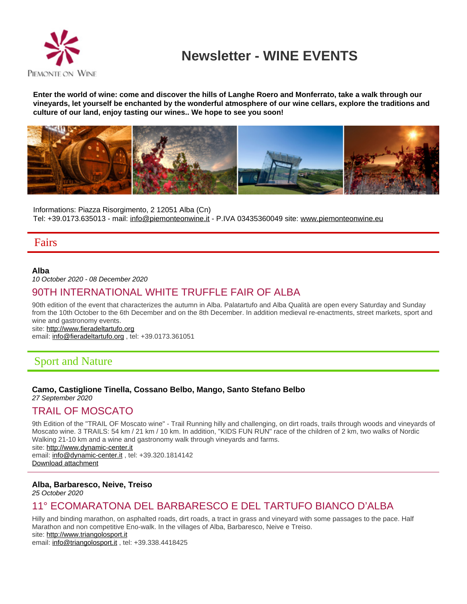

# **Newsletter - WINE EVENTS**

**Enter the world of wine: come and discover the hills of Langhe Roero and Monferrato, take a walk through our vineyards, let yourself be enchanted by the wonderful atmosphere of our wine cellars, explore the traditions and culture of our land, enjoy tasting our wines.. We hope to see you soon!**



Informations: Piazza Risorgimento, 2 12051 Alba (Cn) Tel: +39.0173.635013 - mail: info@piemonteonwine.it - P.IVA 03435360049 site: [www.piemonteonwine.eu](http://www.piemonteonwine.eu)

## Fairs

### **Alba**

10 October 2020 - 08 December 2020

## 90TH INTERNATIONAL WHITE TRUFFLE FAIR OF ALBA

90th edition of the event that characterizes the autumn in Alba. Palatartufo and Alba Qualità are open every Saturday and Sunday from the 10th October to the 6th December and on the 8th December. In addition medieval re-enactments, street markets, sport and wine and gastronomy events.

site:<http://www.fieradeltartufo.org>

email: info@fieradeltartufo.org, tel: +39.0173.361051

## Sport and Nature

### **Camo, Castiglione Tinella, Cossano Belbo, Mango, Santo Stefano Belbo**

27 September 2020

## TRAIL OF MOSCATO

9th Edition of the "TRAIL OF Moscato wine" - Trail Running hilly and challenging, on dirt roads, trails through woods and vineyards of Moscato wine. 3 TRAILS: 54 km / 21 km / 10 km. In addition, "KIDS FUN RUN" race of the children of 2 km, two walks of Nordic Walking 21-10 km and a wine and gastronomy walk through vineyards and farms. site:<http://www.dynamic-center.it> email: info@dynamic-center.it, tel: +39.320.1814142 [Download attachment](http://www.piemonteonwine.it/allegati/trailmoscato_190702052418.png)

### **Alba, Barbaresco, Neive, Treiso**

25 October 2020

## 11° ECOMARATONA DEL BARBARESCO E DEL TARTUFO BIANCO D'ALBA

Hilly and binding marathon, on asphalted roads, dirt roads, a tract in grass and vineyard with some passages to the pace. Half Marathon and non competitive Eno-walk. In the villages of Alba, Barbaresco, Neive e Treiso. site:<http://www.triangolosport.it>

email: info@triangolosport.it , tel: +39.338.4418425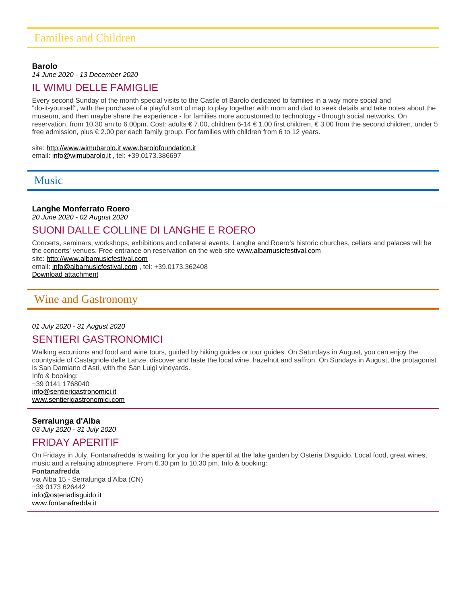#### **Barolo**

14 June 2020 - 13 December 2020

### IL WIMU DELLE FAMIGLIE

Every second Sunday of the month special visits to the Castle of Barolo dedicated to families in a way more social and "do-it-yourself", with the purchase of a playful sort of map to play together with mom and dad to seek details and take notes about the museum, and then maybe share the experience - for families more accustomed to technology - through social networks. On reservation, from 10.30 am to 6.00pm. Cost: adults € 7.00, children 6-14 € 1.00 first children, € 3.00 from the second children, under 5 free admission, plus € 2.00 per each family group. For families with children from 6 to 12 years.

## site:<http://www.wimubarolo.it www.barolofoundation.it>

email: info@wimubarolo.it , tel: +39.0173.386697

## Music

### **Langhe Monferrato Roero**

20 June 2020 - 02 August 2020

## SUONI DALLE COLLINE DI LANGHE E ROERO

Concerts, seminars, workshops, exhibitions and collateral events. Langhe and Roero's historic churches, cellars and palaces will be the concerts' venues. Free entrance on reservation on the web site [www.albamusicfestival.com](https://docs.google.com/forms/d/e/1FAIpQLSfeB5G0ENypTo7AUsCyHcW6f02A6W52HuwOTU3_kAi63fVucw/viewform)

site:<http://www.albamusicfestival.com> email: info@albamusicfestival.com, tel: +39.0173.362408 [Download attachment](http://www.piemonteonwine.it/allegati/SdC2020_200706034300.pdf)

## Wine and Gastronomy

### 01 July 2020 - 31 August 2020

## SENTIERI GASTRONOMICI

Walking excurtions and food and wine tours, guided by hiking guides or tour guides. On Saturdays in August, you can enjoy the countyside of Castagnole delle Lanze, discover and taste the local wine, hazelnut and saffron. On Sundays in August, the protagonist is San Damiano d'Asti, with the San Luigi vineyards.

Info & booking: +39 0141 1768040 info@sentierigastronomici.it [www.sentierigastronomici.com](http://www.sentierigastronomici.com)

### **Serralunga d'Alba**

03 July 2020 - 31 July 2020

## FRIDAY APERITIF

On Fridays in July, Fontanafredda is waiting for you for the aperitif at the lake garden by Osteria Disguido. Local food, great wines, music and a relaxing atmosphere. From 6.30 pm to 10.30 pm. Info & booking:

**Fontanafredda** via Alba 15 - Serralunga d'Alba (CN) +39 0173 626442 info@osteriadisguido.it [www.fontanafredda.it](http://www.fontanafredda.it)